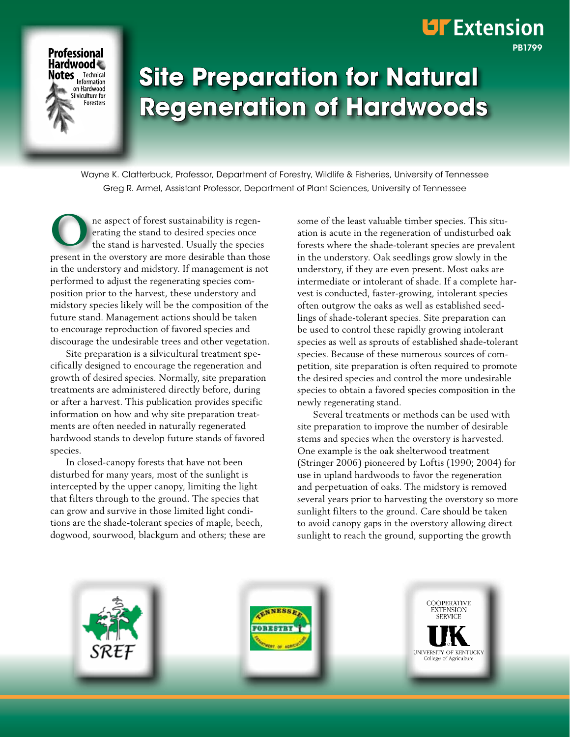# **Site Preparation for Natural Regeneration of Hardwoods**

Wayne K. Clatterbuck, Professor, Department of Forestry, Wildlife & Fisheries, University of Tennessee Greg R. Armel, Assistant Professor, Department of Plant Sciences, University of Tennessee

ne aspect of forest sustainability is regenerating the stand to desired species once the stand is harvested. Usually the species present in the overstory are more desirable than those in the understory and midstory. If management is not performed to adjust the regenerating species composition prior to the harvest, these understory and midstory species likely will be the composition of the future stand. Management actions should be taken to encourage reproduction of favored species and discourage the undesirable trees and other vegetation. **O**

**Professional** Hardwood **Notes** Technical on Hardwood ilviculture for Foresters

 Site preparation is a silvicultural treatment specifically designed to encourage the regeneration and growth of desired species. Normally, site preparation treatments are administered directly before, during or after a harvest. This publication provides specific information on how and why site preparation treatments are often needed in naturally regenerated hardwood stands to develop future stands of favored species.

 In closed-canopy forests that have not been disturbed for many years, most of the sunlight is intercepted by the upper canopy, limiting the light that filters through to the ground. The species that can grow and survive in those limited light conditions are the shade-tolerant species of maple, beech, dogwood, sourwood, blackgum and others; these are some of the least valuable timber species. This situation is acute in the regeneration of undisturbed oak forests where the shade-tolerant species are prevalent in the understory. Oak seedlings grow slowly in the understory, if they are even present. Most oaks are intermediate or intolerant of shade. If a complete harvest is conducted, faster-growing, intolerant species often outgrow the oaks as well as established seedlings of shade-tolerant species. Site preparation can be used to control these rapidly growing intolerant species as well as sprouts of established shade-tolerant species. Because of these numerous sources of competition, site preparation is often required to promote the desired species and control the more undesirable species to obtain a favored species composition in the newly regenerating stand.

PB1799

**UF** Extension

 Several treatments or methods can be used with site preparation to improve the number of desirable stems and species when the overstory is harvested. One example is the oak shelterwood treatment (Stringer 2006) pioneered by Loftis (1990; 2004) for use in upland hardwoods to favor the regeneration and perpetuation of oaks. The midstory is removed several years prior to harvesting the overstory so more sunlight filters to the ground. Care should be taken to avoid canopy gaps in the overstory allowing direct sunlight to reach the ground, supporting the growth

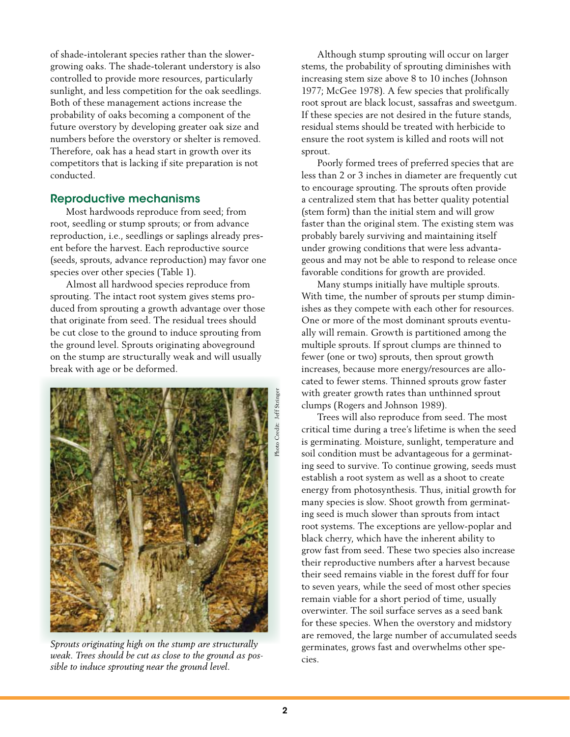of shade-intolerant species rather than the slowergrowing oaks. The shade-tolerant understory is also controlled to provide more resources, particularly sunlight, and less competition for the oak seedlings. Both of these management actions increase the probability of oaks becoming a component of the future overstory by developing greater oak size and numbers before the overstory or shelter is removed. Therefore, oak has a head start in growth over its competitors that is lacking if site preparation is not conducted.

## Reproductive mechanisms

 Most hardwoods reproduce from seed; from root, seedling or stump sprouts; or from advance reproduction, i.e., seedlings or saplings already present before the harvest. Each reproductive source (seeds, sprouts, advance reproduction) may favor one species over other species (Table 1).

 Almost all hardwood species reproduce from sprouting. The intact root system gives stems produced from sprouting a growth advantage over those that originate from seed. The residual trees should be cut close to the ground to induce sprouting from the ground level. Sprouts originating aboveground on the stump are structurally weak and will usually break with age or be deformed.



*Sprouts originating high on the stump are structurally weak. Trees should be cut as close to the ground as possible to induce sprouting near the ground level.*

 Although stump sprouting will occur on larger stems, the probability of sprouting diminishes with increasing stem size above 8 to 10 inches (Johnson 1977; McGee 1978). A few species that prolifically root sprout are black locust, sassafras and sweetgum. If these species are not desired in the future stands, residual stems should be treated with herbicide to ensure the root system is killed and roots will not sprout.

 Poorly formed trees of preferred species that are less than 2 or 3 inches in diameter are frequently cut to encourage sprouting. The sprouts often provide a centralized stem that has better quality potential (stem form) than the initial stem and will grow faster than the original stem. The existing stem was probably barely surviving and maintaining itself under growing conditions that were less advantageous and may not be able to respond to release once favorable conditions for growth are provided.

 Many stumps initially have multiple sprouts. With time, the number of sprouts per stump diminishes as they compete with each other for resources. One or more of the most dominant sprouts eventually will remain. Growth is partitioned among the multiple sprouts. If sprout clumps are thinned to fewer (one or two) sprouts, then sprout growth increases, because more energy/resources are allocated to fewer stems. Thinned sprouts grow faster with greater growth rates than unthinned sprout clumps (Rogers and Johnson 1989).

 Trees will also reproduce from seed. The most critical time during a tree's lifetime is when the seed is germinating. Moisture, sunlight, temperature and soil condition must be advantageous for a germinating seed to survive. To continue growing, seeds must establish a root system as well as a shoot to create energy from photosynthesis. Thus, initial growth for many species is slow. Shoot growth from germinating seed is much slower than sprouts from intact root systems. The exceptions are yellow-poplar and black cherry, which have the inherent ability to grow fast from seed. These two species also increase their reproductive numbers after a harvest because their seed remains viable in the forest duff for four to seven years, while the seed of most other species remain viable for a short period of time, usually overwinter. The soil surface serves as a seed bank for these species. When the overstory and midstory are removed, the large number of accumulated seeds germinates, grows fast and overwhelms other species.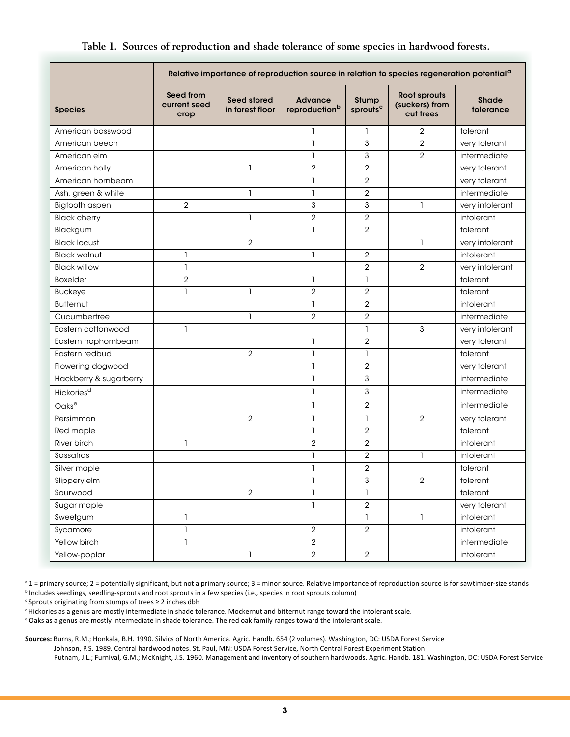|                        | Relative importance of reproduction source in relation to species regeneration potential <sup>a</sup> |                                |                                             |                                      |                                             |                           |
|------------------------|-------------------------------------------------------------------------------------------------------|--------------------------------|---------------------------------------------|--------------------------------------|---------------------------------------------|---------------------------|
| <b>Species</b>         | Seed from<br>current seed<br>crop                                                                     | Seed stored<br>in forest floor | <b>Advance</b><br>reproduction <sup>b</sup> | <b>Stump</b><br>sprouts <sup>c</sup> | Root sprouts<br>(suckers) from<br>cut trees | <b>Shade</b><br>tolerance |
| American basswood      |                                                                                                       |                                | 1                                           | 1                                    | 2                                           | tolerant                  |
| American beech         |                                                                                                       |                                | $\mathbf{1}$                                | 3                                    | $\overline{2}$                              | very tolerant             |
| American elm           |                                                                                                       |                                | $\mathbf{1}$                                | 3                                    | $\overline{2}$                              | intermediate              |
| American holly         |                                                                                                       | $\mathbf{1}$                   | $\overline{2}$                              | $\overline{2}$                       |                                             | very tolerant             |
| American hornbeam      |                                                                                                       |                                | 1                                           | 2                                    |                                             | very tolerant             |
| Ash, green & white     |                                                                                                       | $\mathbf{1}$                   | $\mathbf{1}$                                | $\overline{2}$                       |                                             | intermediate              |
| Bigtooth aspen         | $\overline{2}$                                                                                        |                                | 3                                           | 3                                    | $\mathbf{1}$                                | very intolerant           |
| <b>Black cherry</b>    |                                                                                                       | 1                              | $\overline{2}$                              | 2                                    |                                             | intolerant                |
| Blackgum               |                                                                                                       |                                | $\mathbf{1}$                                | $\overline{2}$                       |                                             | tolerant                  |
| <b>Black locust</b>    |                                                                                                       | $\overline{2}$                 |                                             |                                      | $\mathbf{1}$                                | very intolerant           |
| <b>Black walnut</b>    | $\overline{1}$                                                                                        |                                | $\mathbf{1}$                                | $\overline{2}$                       |                                             | intolerant                |
| <b>Black willow</b>    | 1                                                                                                     |                                |                                             | $\overline{2}$                       | $\overline{2}$                              | very intolerant           |
| <b>Boxelder</b>        | $\overline{2}$                                                                                        |                                | $\mathbf{1}$                                | ı                                    |                                             | tolerant                  |
| <b>Buckeye</b>         | 1                                                                                                     | $\mathbf{1}$                   | $\overline{2}$                              | $\overline{2}$                       |                                             | tolerant                  |
| <b>Butternut</b>       |                                                                                                       |                                | 1                                           | $\overline{2}$                       |                                             | intolerant                |
| Cucumbertree           |                                                                                                       | $\mathbf{1}$                   | $\overline{2}$                              | 2                                    |                                             | intermediate              |
| Eastern cottonwood     | 1                                                                                                     |                                |                                             | 1                                    | 3                                           | very intolerant           |
| Eastern hophornbeam    |                                                                                                       |                                | $\mathbf{1}$                                | $\overline{2}$                       |                                             | very tolerant             |
| Eastern redbud         |                                                                                                       | $\overline{2}$                 | $\mathbf{1}$                                | 1                                    |                                             | tolerant                  |
| Flowering dogwood      |                                                                                                       |                                | $\mathbf{1}$                                | $\overline{2}$                       |                                             | very tolerant             |
| Hackberry & sugarberry |                                                                                                       |                                | $\mathbf{1}$                                | 3                                    |                                             | intermediate              |
| Hickories <sup>d</sup> |                                                                                                       |                                | $\mathbf{1}$                                | 3                                    |                                             | intermediate              |
| Oaks <sup>e</sup>      |                                                                                                       |                                | 1                                           | $\overline{2}$                       |                                             | intermediate              |
| Persimmon              |                                                                                                       | $\overline{2}$                 | $\mathbf{1}$                                | ı                                    | $\overline{2}$                              | very tolerant             |
| Red maple              |                                                                                                       |                                | $\mathbf{1}$                                | $\overline{2}$                       |                                             | tolerant                  |
| River birch            | 1                                                                                                     |                                | $\sqrt{2}$                                  | $\overline{c}$                       |                                             | intolerant                |
| Sassafras              |                                                                                                       |                                | $\mathbf{1}$                                | $\overline{2}$                       | 1                                           | intolerant                |
| Silver maple           |                                                                                                       |                                | 1                                           | 2                                    |                                             | tolerant                  |
| Slippery elm           |                                                                                                       |                                | 1                                           | 3                                    | 2                                           | tolerant                  |
| Sourwood               |                                                                                                       | $\overline{2}$                 | $\mathbf{1}$                                | 1                                    |                                             | tolerant                  |
| Sugar maple            |                                                                                                       |                                | $\mathbf{1}$                                | $\overline{2}$                       |                                             | very tolerant             |
| Sweetgum               | $\mathbf{1}$                                                                                          |                                |                                             | $\mathbf{1}$                         | $\mathbf{I}$                                | intolerant                |
| Sycamore               | $\mathbf{1}$                                                                                          |                                | $\overline{2}$                              | $\overline{2}$                       |                                             | intolerant                |
| Yellow birch           | 1                                                                                                     |                                | $\overline{2}$                              |                                      |                                             | intermediate              |
| Yellow-poplar          |                                                                                                       | $\mathbf{1}$                   | $\overline{2}$                              | $\overline{2}$                       |                                             | intolerant                |

## **Table 1. Sources of reproduction and shade tolerance of some species in hardwood forests.**

 $a_1$  = primary source; 2 = potentially significant, but not a primary source; 3 = minor source. Relative importance of reproduction source is for sawtimber-size stands

<sup>b</sup> Includes seedlings, seedling-sprouts and root sprouts in a few species (i.e., species in root sprouts column)

 $c$  Sprouts originating from stumps of trees  $\geq 2$  inches dbh

d Hickories as a genus are mostly intermediate in shade tolerance. Mockernut and bitternut range toward the intolerant scale.

e Oaks as a genus are mostly intermediate in shade tolerance. The red oak family ranges toward the intolerant scale.

**Sources:** Burns, R.M.; Honkala, B.H. 1990. Silvics of North America. Agric. Handb. 654 (2 volumes). Washington, DC: USDA Forest Service

Johnson, P.S. 1989. Central hardwood notes. St. Paul, MN: USDA Forest Service, North Central Forest Experiment Station

Putnam, J.L.; Furnival, G.M.; McKnight, J.S. 1960. Management and inventory of southern hardwoods. Agric. Handb. 181. Washington, DC: USDA Forest Service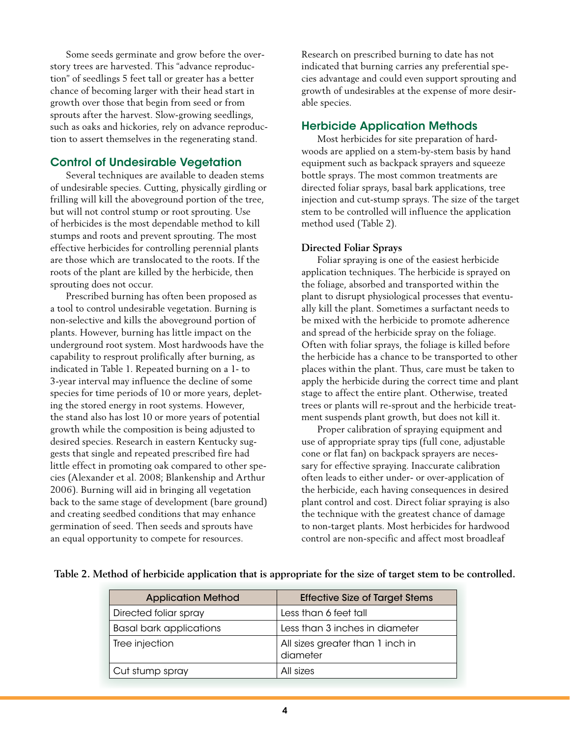Some seeds germinate and grow before the overstory trees are harvested. This "advance reproduction" of seedlings 5 feet tall or greater has a better chance of becoming larger with their head start in growth over those that begin from seed or from sprouts after the harvest. Slow-growing seedlings, such as oaks and hickories, rely on advance reproduction to assert themselves in the regenerating stand.

## Control of Undesirable Vegetation

 Several techniques are available to deaden stems of undesirable species. Cutting, physically girdling or frilling will kill the aboveground portion of the tree, but will not control stump or root sprouting. Use of herbicides is the most dependable method to kill stumps and roots and prevent sprouting. The most effective herbicides for controlling perennial plants are those which are translocated to the roots. If the roots of the plant are killed by the herbicide, then sprouting does not occur.

 Prescribed burning has often been proposed as a tool to control undesirable vegetation. Burning is non-selective and kills the aboveground portion of plants. However, burning has little impact on the underground root system. Most hardwoods have the capability to resprout prolifically after burning, as indicated in Table 1. Repeated burning on a 1- to 3-year interval may influence the decline of some species for time periods of 10 or more years, depleting the stored energy in root systems. However, the stand also has lost 10 or more years of potential growth while the composition is being adjusted to desired species. Research in eastern Kentucky suggests that single and repeated prescribed fire had little effect in promoting oak compared to other species (Alexander et al. 2008; Blankenship and Arthur 2006). Burning will aid in bringing all vegetation back to the same stage of development (bare ground) and creating seedbed conditions that may enhance germination of seed. Then seeds and sprouts have an equal opportunity to compete for resources.

Research on prescribed burning to date has not indicated that burning carries any preferential species advantage and could even support sprouting and growth of undesirables at the expense of more desirable species.

## Herbicide Application Methods

 Most herbicides for site preparation of hardwoods are applied on a stem-by-stem basis by hand equipment such as backpack sprayers and squeeze bottle sprays. The most common treatments are directed foliar sprays, basal bark applications, tree injection and cut-stump sprays. The size of the target stem to be controlled will influence the application method used (Table 2).

## **Directed Foliar Sprays**

 Foliar spraying is one of the easiest herbicide application techniques. The herbicide is sprayed on the foliage, absorbed and transported within the plant to disrupt physiological processes that eventually kill the plant. Sometimes a surfactant needs to be mixed with the herbicide to promote adherence and spread of the herbicide spray on the foliage. Often with foliar sprays, the foliage is killed before the herbicide has a chance to be transported to other places within the plant. Thus, care must be taken to apply the herbicide during the correct time and plant stage to affect the entire plant. Otherwise, treated trees or plants will re-sprout and the herbicide treatment suspends plant growth, but does not kill it.

 Proper calibration of spraying equipment and use of appropriate spray tips (full cone, adjustable cone or flat fan) on backpack sprayers are necessary for effective spraying. Inaccurate calibration often leads to either under- or over-application of the herbicide, each having consequences in desired plant control and cost. Direct foliar spraying is also the technique with the greatest chance of damage to non-target plants. Most herbicides for hardwood control are non-specific and affect most broadleaf

| <b>Application Method</b>      | <b>Effective Size of Target Stems</b>        |  |  |
|--------------------------------|----------------------------------------------|--|--|
| Directed foliar spray          | Less than 6 feet tall                        |  |  |
| <b>Basal bark applications</b> | Less than 3 inches in diameter               |  |  |
| Tree injection                 | All sizes greater than 1 inch in<br>diameter |  |  |
| Cut stump spray                | All sizes                                    |  |  |

## **Table 2. Method of herbicide application that is appropriate for the size of target stem to be controlled.**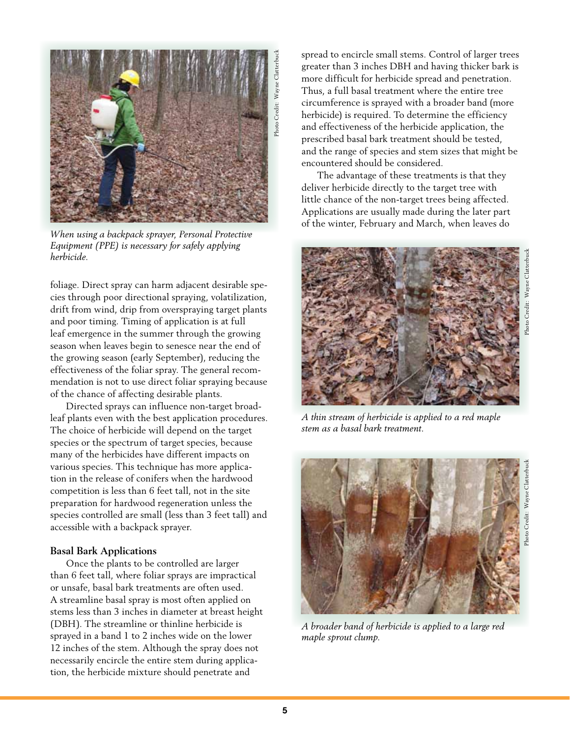

*When using a backpack sprayer, Personal Protective Equipment (PPE) is necessary for safely applying herbicide.*

foliage. Direct spray can harm adjacent desirable species through poor directional spraying, volatilization, drift from wind, drip from overspraying target plants and poor timing. Timing of application is at full leaf emergence in the summer through the growing season when leaves begin to senesce near the end of the growing season (early September), reducing the effectiveness of the foliar spray. The general recommendation is not to use direct foliar spraying because of the chance of affecting desirable plants.

 Directed sprays can influence non-target broadleaf plants even with the best application procedures. The choice of herbicide will depend on the target species or the spectrum of target species, because many of the herbicides have different impacts on various species. This technique has more application in the release of conifers when the hardwood competition is less than 6 feet tall, not in the site preparation for hardwood regeneration unless the species controlled are small (less than 3 feet tall) and accessible with a backpack sprayer.

## **Basal Bark Applications**

 Once the plants to be controlled are larger than 6 feet tall, where foliar sprays are impractical or unsafe, basal bark treatments are often used. A streamline basal spray is most often applied on stems less than 3 inches in diameter at breast height (DBH). The streamline or thinline herbicide is sprayed in a band 1 to 2 inches wide on the lower 12 inches of the stem. Although the spray does not necessarily encircle the entire stem during application, the herbicide mixture should penetrate and

spread to encircle small stems. Control of larger trees greater than 3 inches DBH and having thicker bark is more difficult for herbicide spread and penetration. Thus, a full basal treatment where the entire tree circumference is sprayed with a broader band (more herbicide) is required. To determine the efficiency and effectiveness of the herbicide application, the prescribed basal bark treatment should be tested, and the range of species and stem sizes that might be encountered should be considered.

 The advantage of these treatments is that they deliver herbicide directly to the target tree with little chance of the non-target trees being affected. Applications are usually made during the later part of the winter, February and March, when leaves do



*A thin stream of herbicide is applied to a red maple stem as a basal bark treatment.* 



*A broader band of herbicide is applied to a large red maple sprout clump.*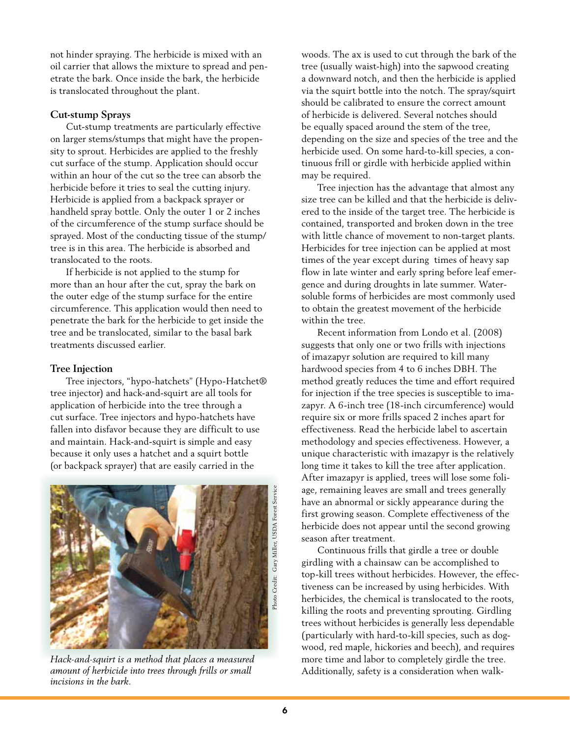not hinder spraying. The herbicide is mixed with an oil carrier that allows the mixture to spread and penetrate the bark. Once inside the bark, the herbicide is translocated throughout the plant.

#### **Cut-stump Sprays**

 Cut-stump treatments are particularly effective on larger stems/stumps that might have the propensity to sprout. Herbicides are applied to the freshly cut surface of the stump. Application should occur within an hour of the cut so the tree can absorb the herbicide before it tries to seal the cutting injury. Herbicide is applied from a backpack sprayer or handheld spray bottle. Only the outer 1 or 2 inches of the circumference of the stump surface should be sprayed. Most of the conducting tissue of the stump/ tree is in this area. The herbicide is absorbed and translocated to the roots.

 If herbicide is not applied to the stump for more than an hour after the cut, spray the bark on the outer edge of the stump surface for the entire circumference. This application would then need to penetrate the bark for the herbicide to get inside the tree and be translocated, similar to the basal bark treatments discussed earlier.

## **Tree Injection**

 Tree injectors, "hypo-hatchets" (Hypo-Hatchet® tree injector) and hack-and-squirt are all tools for application of herbicide into the tree through a cut surface. Tree injectors and hypo-hatchets have fallen into disfavor because they are difficult to use and maintain. Hack-and-squirt is simple and easy because it only uses a hatchet and a squirt bottle (or backpack sprayer) that are easily carried in the



*Hack-and-squirt is a method that places a measured amount of herbicide into trees through frills or small incisions in the bark.*

woods. The ax is used to cut through the bark of the tree (usually waist-high) into the sapwood creating a downward notch, and then the herbicide is applied via the squirt bottle into the notch. The spray/squirt should be calibrated to ensure the correct amount of herbicide is delivered. Several notches should be equally spaced around the stem of the tree, depending on the size and species of the tree and the herbicide used. On some hard-to-kill species, a continuous frill or girdle with herbicide applied within may be required.

 Tree injection has the advantage that almost any size tree can be killed and that the herbicide is delivered to the inside of the target tree. The herbicide is contained, transported and broken down in the tree with little chance of movement to non-target plants. Herbicides for tree injection can be applied at most times of the year except during times of heavy sap flow in late winter and early spring before leaf emergence and during droughts in late summer. Watersoluble forms of herbicides are most commonly used to obtain the greatest movement of the herbicide within the tree.

 Recent information from Londo et al. (2008) suggests that only one or two frills with injections of imazapyr solution are required to kill many hardwood species from 4 to 6 inches DBH. The method greatly reduces the time and effort required for injection if the tree species is susceptible to imazapyr. A 6-inch tree (18-inch circumference) would require six or more frills spaced 2 inches apart for effectiveness. Read the herbicide label to ascertain methodology and species effectiveness. However, a unique characteristic with imazapyr is the relatively long time it takes to kill the tree after application. After imazapyr is applied, trees will lose some foliage, remaining leaves are small and trees generally have an abnormal or sickly appearance during the first growing season. Complete effectiveness of the herbicide does not appear until the second growing season after treatment.

 Continuous frills that girdle a tree or double girdling with a chainsaw can be accomplished to top-kill trees without herbicides. However, the effectiveness can be increased by using herbicides. With herbicides, the chemical is translocated to the roots, killing the roots and preventing sprouting. Girdling trees without herbicides is generally less dependable (particularly with hard-to-kill species, such as dogwood, red maple, hickories and beech), and requires more time and labor to completely girdle the tree. Additionally, safety is a consideration when walk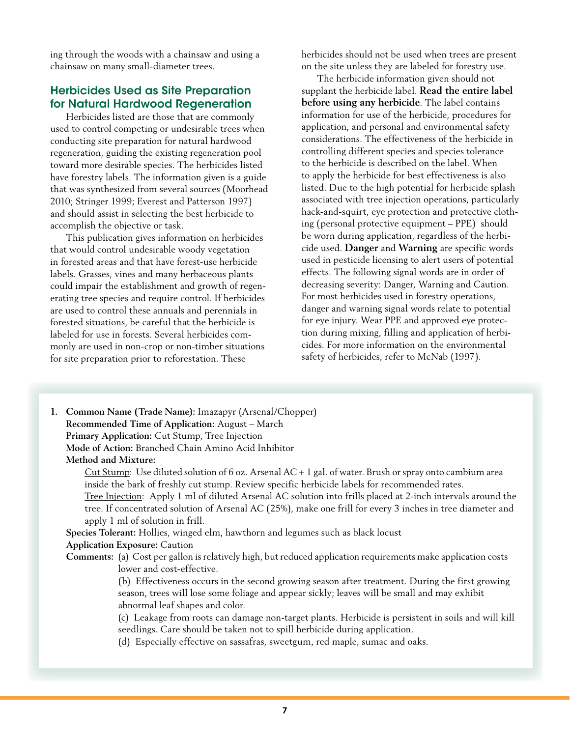ing through the woods with a chainsaw and using a chainsaw on many small-diameter trees.

## Herbicides Used as Site Preparation for Natural Hardwood Regeneration

 Herbicides listed are those that are commonly used to control competing or undesirable trees when conducting site preparation for natural hardwood regeneration, guiding the existing regeneration pool toward more desirable species. The herbicides listed have forestry labels. The information given is a guide that was synthesized from several sources (Moorhead 2010; Stringer 1999; Everest and Patterson 1997) and should assist in selecting the best herbicide to accomplish the objective or task.

 This publication gives information on herbicides that would control undesirable woody vegetation in forested areas and that have forest-use herbicide labels. Grasses, vines and many herbaceous plants could impair the establishment and growth of regenerating tree species and require control. If herbicides are used to control these annuals and perennials in forested situations, be careful that the herbicide is labeled for use in forests. Several herbicides commonly are used in non-crop or non-timber situations for site preparation prior to reforestation. These

herbicides should not be used when trees are present on the site unless they are labeled for forestry use.

 The herbicide information given should not supplant the herbicide label. **Read the entire label before using any herbicide**. The label contains information for use of the herbicide, procedures for application, and personal and environmental safety considerations. The effectiveness of the herbicide in controlling different species and species tolerance to the herbicide is described on the label. When to apply the herbicide for best effectiveness is also listed. Due to the high potential for herbicide splash associated with tree injection operations, particularly hack-and-squirt, eye protection and protective clothing (personal protective equipment – PPE) should be worn during application, regardless of the herbicide used. **Danger** and **Warning** are specific words used in pesticide licensing to alert users of potential effects. The following signal words are in order of decreasing severity: Danger, Warning and Caution. For most herbicides used in forestry operations, danger and warning signal words relate to potential for eye injury. Wear PPE and approved eye protection during mixing, filling and application of herbicides. For more information on the environmental safety of herbicides, refer to McNab (1997).

**1. Common Name (Trade Name):** Imazapyr (Arsenal/Chopper) **Recommended Time of Application:** August – March **Primary Application:** Cut Stump, Tree Injection **Mode of Action:** Branched Chain Amino Acid Inhibitor **Method and Mixture:**

> Cut Stump: Use diluted solution of 6 oz. Arsenal AC + 1 gal. of water. Brush or spray onto cambium area inside the bark of freshly cut stump. Review specific herbicide labels for recommended rates.

 Tree Injection: Apply 1 ml of diluted Arsenal AC solution into frills placed at 2-inch intervals around the tree. If concentrated solution of Arsenal AC (25%), make one frill for every 3 inches in tree diameter and apply 1 ml of solution in frill.

**Species Tolerant:** Hollies, winged elm, hawthorn and legumes such as black locust **Application Exposure:** Caution

**Comments:** (a) Cost per gallon is relatively high, but reduced application requirements make application costs lower and cost-effective.

> (b) Effectiveness occurs in the second growing season after treatment. During the first growing season, trees will lose some foliage and appear sickly; leaves will be small and may exhibit abnormal leaf shapes and color.

 (c) Leakage from roots can damage non-target plants. Herbicide is persistent in soils and will kill seedlings. Care should be taken not to spill herbicide during application.

 (d) Especially effective on sassafras, sweetgum, red maple, sumac and oaks.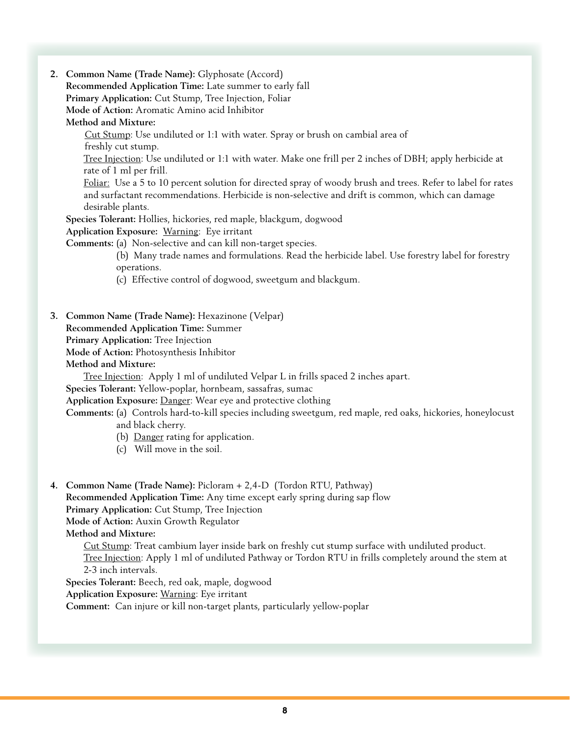**2. Common Name (Trade Name):** Glyphosate (Accord)

**Recommended Application Time:** Late summer to early fall

**Primary Application:** Cut Stump, Tree Injection, Foliar

**Mode of Action:** Aromatic Amino acid Inhibitor

**Method and Mixture:**

 Cut Stump: Use undiluted or 1:1 with water. Spray or brush on cambial area of freshly cut stump.

 Tree Injection: Use undiluted or 1:1 with water. Make one frill per 2 inches of DBH; apply herbicide at rate of 1 ml per frill.

Foliar: Use a 5 to 10 percent solution for directed spray of woody brush and trees. Refer to label for rates and surfactant recommendations. Herbicide is non-selective and drift is common, which can damage desirable plants.

**Species Tolerant:** Hollies, hickories, red maple, blackgum, dogwood

**Application Exposure:** Warning: Eye irritant

**Comments:** (a) Non-selective and can kill non-target species.

 (b) Many trade names and formulations. Read the herbicide label. Use forestry label for forestry operations.

 (c) Effective control of dogwood, sweetgum and blackgum.

**3. Common Name (Trade Name):** Hexazinone (Velpar) **Recommended Application Time:** Summer **Primary Application:** Tree Injection **Mode of Action:** Photosynthesis Inhibitor **Method and Mixture:** 

 Tree Injection: Apply 1 ml of undiluted Velpar L in frills spaced 2 inches apart.

**Species Tolerant:** Yellow-poplar, hornbeam, sassafras, sumac

**Application Exposure:** Danger: Wear eye and protective clothing

**Comments:** (a) Controls hard-to-kill species including sweetgum, red maple, red oaks, hickories, honeylocust and black cherry.

- (b) Danger rating for application.
- (c) Will move in the soil.

**4. Common Name (Trade Name):** Picloram + 2,4-D (Tordon RTU, Pathway) **Recommended Application Time:** Any time except early spring during sap flow **Primary Application:** Cut Stump, Tree Injection **Mode of Action:** Auxin Growth Regulator **Method and Mixture:**

 Cut Stump: Treat cambium layer inside bark on freshly cut stump surface with undiluted product. Tree Injection: Apply 1 ml of undiluted Pathway or Tordon RTU in frills completely around the stem at 2-3 inch intervals.

**Species Tolerant:** Beech, red oak, maple, dogwood **Application Exposure:** Warning: Eye irritant

**Comment:** Can injure or kill non-target plants, particularly yellow-poplar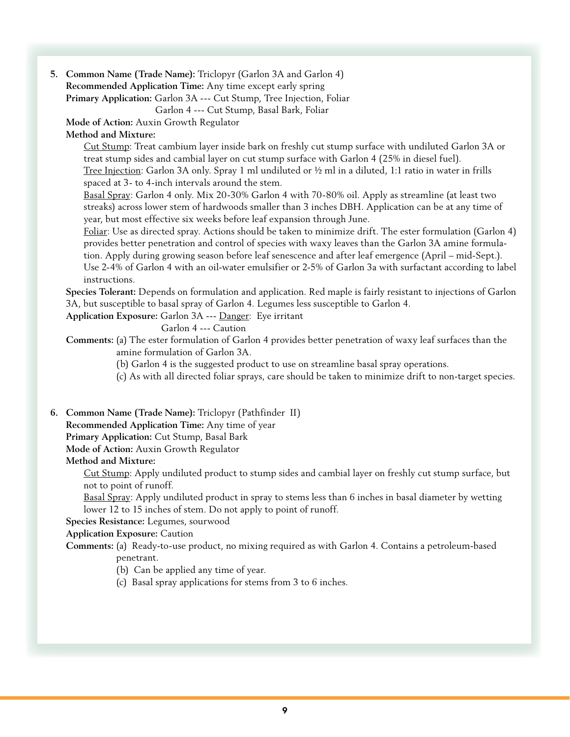**5. Common Name (Trade Name):** Triclopyr (Garlon 3A and Garlon 4) **Recommended Application Time:** Any time except early spring **Primary Application:** Garlon 3A --- Cut Stump, Tree Injection, Foliar

 Garlon 4 --- Cut Stump, Basal Bark, Foliar

**Mode of Action:** Auxin Growth Regulator

## **Method and Mixture:**

Cut Stump: Treat cambium layer inside bark on freshly cut stump surface with undiluted Garlon 3A or treat stump sides and cambial layer on cut stump surface with Garlon 4 (25% in diesel fuel). Tree Injection: Garlon 3A only. Spray 1 ml undiluted or ½ ml in a diluted, 1:1 ratio in water in frills spaced at 3- to 4-inch intervals around the stem.

 Basal Spray: Garlon 4 only. Mix 20-30% Garlon 4 with 70-80% oil. Apply as streamline (at least two streaks) across lower stem of hardwoods smaller than 3 inches DBH. Application can be at any time of year, but most effective six weeks before leaf expansion through June.

Foliar: Use as directed spray. Actions should be taken to minimize drift. The ester formulation (Garlon 4) provides better penetration and control of species with waxy leaves than the Garlon 3A amine formulation. Apply during growing season before leaf senescence and after leaf emergence (April – mid-Sept.).

Use 2-4% of Garlon 4 with an oil-water emulsifier or 2-5% of Garlon 3a with surfactant according to label instructions.

**Species Tolerant:** Depends on formulation and application. Red maple is fairly resistant to injections of Garlon 3A, but susceptible to basal spray of Garlon 4. Legumes less susceptible to Garlon 4.

**Application Exposure:** Garlon 3A --- Danger: Eye irritant

 Garlon 4 --- Caution

**Comments:** (a) The ester formulation of Garlon 4 provides better penetration of waxy leaf surfaces than the amine formulation of Garlon 3A.

 (b) Garlon 4 is the suggested product to use on streamline basal spray operations.

 (c) As with all directed foliar sprays, care should be taken to minimize drift to non-target species.

## **6. Common Name (Trade Name):** Triclopyr (Pathfinder II)

**Recommended Application Time:** Any time of year

**Primary Application:** Cut Stump, Basal Bark

**Mode of Action:** Auxin Growth Regulator

## **Method and Mixture:**

 Cut Stump: Apply undiluted product to stump sides and cambial layer on freshly cut stump surface, but not to point of runoff.

Basal Spray: Apply undiluted product in spray to stems less than 6 inches in basal diameter by wetting lower 12 to 15 inches of stem. Do not apply to point of runoff.

**Species Resistance:** Legumes, sourwood

**Application Exposure:** Caution

**Comments:** (a) Ready-to-use product, no mixing required as with Garlon 4. Contains a petroleum-based penetrant.

 (b) Can be applied any time of year.

 (c) Basal spray applications for stems from 3 to 6 inches.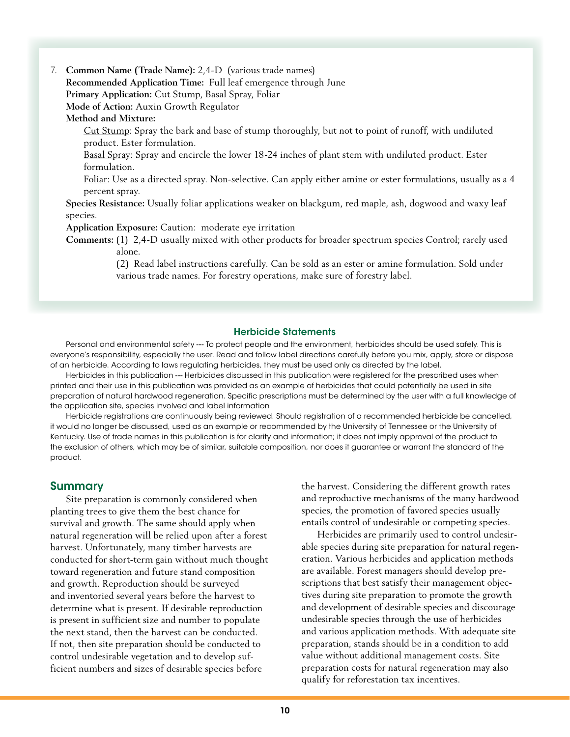7. **Common Name (Trade Name):** 2,4-D (various trade names) **Recommended Application Time:** Full leaf emergence through June **Primary Application:** Cut Stump, Basal Spray, Foliar **Mode of Action:** Auxin Growth Regulator

**Method and Mixture:**

 Cut Stump: Spray the bark and base of stump thoroughly, but not to point of runoff, with undiluted product. Ester formulation.

 Basal Spray: Spray and encircle the lower 18-24 inches of plant stem with undiluted product. Ester formulation.

Foliar: Use as a directed spray. Non-selective. Can apply either amine or ester formulations, usually as a 4 percent spray.

**Species Resistance:** Usually foliar applications weaker on blackgum, red maple, ash, dogwood and waxy leaf species.

**Application Exposure:** Caution: moderate eye irritation

**Comments:** (1) 2,4-D usually mixed with other products for broader spectrum species Control; rarely used alone.

> (2) Read label instructions carefully. Can be sold as an ester or amine formulation. Sold under various trade names. For forestry operations, make sure of forestry label.

#### Herbicide Statements

Personal and environmental safety --- To protect people and the environment, herbicides should be used safely. This is everyone's responsibility, especially the user. Read and follow label directions carefully before you mix, apply, store or dispose of an herbicide. According to laws regulating herbicides, they must be used only as directed by the label.

Herbicides in this publication --- Herbicides discussed in this publication were registered for the prescribed uses when printed and their use in this publication was provided as an example of herbicides that could potentially be used in site preparation of natural hardwood regeneration. Specific prescriptions must be determined by the user with a full knowledge of the application site, species involved and label information

Herbicide registrations are continuously being reviewed. Should registration of a recommended herbicide be cancelled, it would no longer be discussed, used as an example or recommended by the University of Tennessee or the University of Kentucky. Use of trade names in this publication is for clarity and information; it does not imply approval of the product to the exclusion of others, which may be of similar, suitable composition, nor does it guarantee or warrant the standard of the product.

## Summary

 Site preparation is commonly considered when planting trees to give them the best chance for survival and growth. The same should apply when natural regeneration will be relied upon after a forest harvest. Unfortunately, many timber harvests are conducted for short-term gain without much thought toward regeneration and future stand composition and growth. Reproduction should be surveyed and inventoried several years before the harvest to determine what is present. If desirable reproduction is present in sufficient size and number to populate the next stand, then the harvest can be conducted. If not, then site preparation should be conducted to control undesirable vegetation and to develop sufficient numbers and sizes of desirable species before

the harvest. Considering the different growth rates and reproductive mechanisms of the many hardwood species, the promotion of favored species usually entails control of undesirable or competing species.

 Herbicides are primarily used to control undesirable species during site preparation for natural regeneration. Various herbicides and application methods are available. Forest managers should develop prescriptions that best satisfy their management objectives during site preparation to promote the growth and development of desirable species and discourage undesirable species through the use of herbicides and various application methods. With adequate site preparation, stands should be in a condition to add value without additional management costs. Site preparation costs for natural regeneration may also qualify for reforestation tax incentives.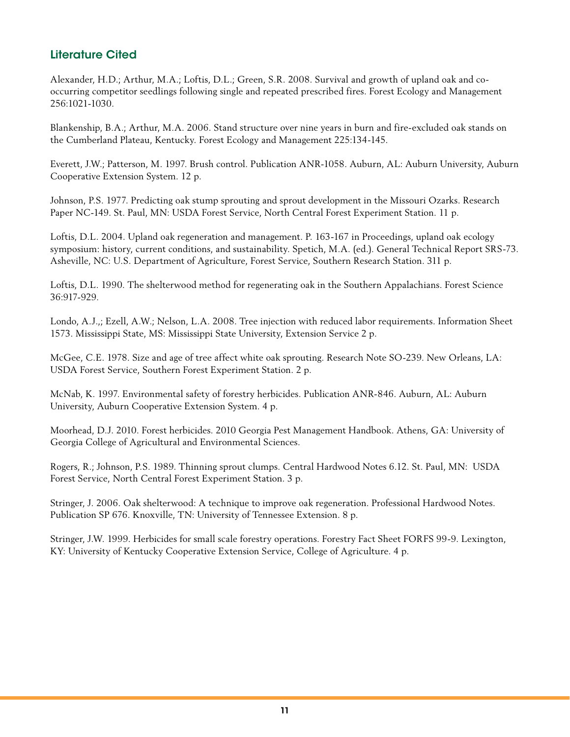## Literature Cited

Alexander, H.D.; Arthur, M.A.; Loftis, D.L.; Green, S.R. 2008. Survival and growth of upland oak and cooccurring competitor seedlings following single and repeated prescribed fires. Forest Ecology and Management 256:1021-1030.

Blankenship, B.A.; Arthur, M.A. 2006. Stand structure over nine years in burn and fire-excluded oak stands on the Cumberland Plateau, Kentucky. Forest Ecology and Management 225:134-145.

Everett, J.W.; Patterson, M. 1997. Brush control. Publication ANR-1058. Auburn, AL: Auburn University, Auburn Cooperative Extension System. 12 p.

Johnson, P.S. 1977. Predicting oak stump sprouting and sprout development in the Missouri Ozarks. Research Paper NC-149. St. Paul, MN: USDA Forest Service, North Central Forest Experiment Station. 11 p.

Loftis, D.L. 2004. Upland oak regeneration and management. P. 163-167 in Proceedings, upland oak ecology symposium: history, current conditions, and sustainability. Spetich, M.A. (ed.). General Technical Report SRS-73. Asheville, NC: U.S. Department of Agriculture, Forest Service, Southern Research Station. 311 p.

Loftis, D.L. 1990. The shelterwood method for regenerating oak in the Southern Appalachians. Forest Science 36:917-929.

Londo, A.J.,; Ezell, A.W.; Nelson, L.A. 2008. Tree injection with reduced labor requirements. Information Sheet 1573. Mississippi State, MS: Mississippi State University, Extension Service 2 p.

McGee, C.E. 1978. Size and age of tree affect white oak sprouting. Research Note SO-239. New Orleans, LA: USDA Forest Service, Southern Forest Experiment Station. 2 p.

McNab, K. 1997. Environmental safety of forestry herbicides. Publication ANR-846. Auburn, AL: Auburn University, Auburn Cooperative Extension System. 4 p.

Moorhead, D.J. 2010. Forest herbicides. 2010 Georgia Pest Management Handbook. Athens, GA: University of Georgia College of Agricultural and Environmental Sciences.

Rogers, R.; Johnson, P.S. 1989. Thinning sprout clumps. Central Hardwood Notes 6.12. St. Paul, MN: USDA Forest Service, North Central Forest Experiment Station. 3 p.

Stringer, J. 2006. Oak shelterwood: A technique to improve oak regeneration. Professional Hardwood Notes. Publication SP 676. Knoxville, TN: University of Tennessee Extension. 8 p.

Stringer, J.W. 1999. Herbicides for small scale forestry operations. Forestry Fact Sheet FORFS 99-9. Lexington, KY: University of Kentucky Cooperative Extension Service, College of Agriculture. 4 p.